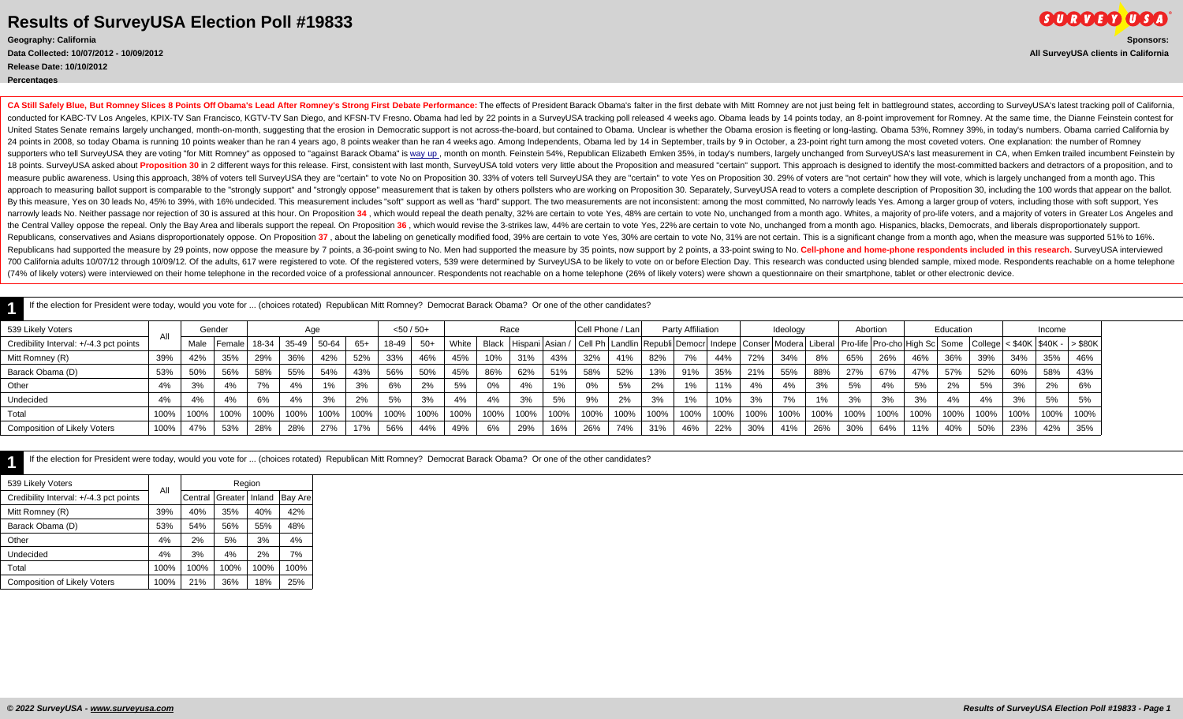**Release Date: 10/10/2012**

**Percentages**

**1**

CA Still Safely Blue, But Romney Slices 8 Points Off Obama's Lead After Romney's Strong First Debate Performance: The effects of President Barack Obama's falter in the first debate with Mitt Romney are not just being felt conducted for KABC-TV Los Angeles, KPIX-TV San Francisco, KGTV-TV San Diego, and KFSN-TV Fresno. Obama had led by 22 points in a SurveyUSA tracking poll released 4 weeks ago. Obama leads by 14 points today, an 8-point impr United States Senate remains largely unchanged, month-on-month, suggesting that the erosion in Democratic support is not across-the-board, but contained to Obama. Unclear is whether the Obama erosion is fleeting or long-la 24 points in 2008, so today Obama is running 10 points weaker than he ran 4 years ago, 8 points weaker than be ran 4 years ago. 8 points weaker than he ran 4 weeks ago. Among Independents, Obama led by 14 in September, tra supporters who tell SurveyUSA they are voting "for Mitt Romney" as opposed to "against Barack Obama" is way up, month on month. Feinstein 54%. Republican Elizabeth Emken 35%, in today's numbers, largely unchanged from Surv 18 points. SurveyUSA asked about Proposition 30 in 2 different ways for this release. First, consistent with last month, SurveyUSA told voters very little about the Proposition and measured "certain" support. This approach measure public awareness. Using this approach, 38% of voters tell SurveyUSA they are "certain" to vote No on Proposition 30. 33% of voters tell SurveyUSA they are "certain" to vote No on Proposition 30. 33% of voters tell approach to measuring ballot support is comparable to the "strongly support" and "strongly oppose" measurement that is taken by others pollsters who are working on Proposition 30. Separately, SurveyUSA read to voters a com By this measure, Yes on 30 leads No, 45% to 39%, with 16% undecided. This measurement includes "soft" support as well as "hard" support. The two measurements are not inconsistent: among the most committed, No narrowly lead narrowly leads No. Neither passage nor rejection of 30 is assured at this hour. On Proposition 34, which would repeal the death penalty, 32% are certain to vote No, unchanged from a month ago. Whites, a majority of pro-lif the Central Valley oppose the repeal. Only the Bay Area and liberals support the repeal. On Proposition 36, which would revise the 3-strikes law, 44% are certain to vote Yes, 22% are certain to vote No, unchanged from a mo Republicans, conservatives and Asians disproportionately oppose. On Proposition 37, about the labeling on genetically modified food, 39% are certain to vote Yes, 30% are certain to vote No, 31% are not certain. This is a s Republicans had supported the measure by 29 points, now oppose the measure by 7 points, a 36-point swing to No. Men had supported the measure by 35 points, now support by 2 points, a 33-point swing to No. Cell-phone and ho 700 California adults 10/07/12 through 10/09/12. Of the adults, 617 were registered to vote. Of the registered to vote. Of the registered voters, 539 were determined by SurveyUSA to be likely to vote on or before Election (74% of likely voters) were interviewed on their home telephone in the recorded voice of a professional announcer. Respondents not reachable on a home telephone (26% of likely voters) were shown a questionnaire on their sm

**1** If the election for President were today, would you vote for ... (choices rotated) Republican Mitt Romney? Democrat Barack Obama? Or one of the other candidates?

| 539 Likely Voters                       |      |      | Gender         |       | Age   |       |       | $<$ 50 / 50+ |       |       |      | Race |      | Cell Phone / Lan |      |      | Party Affiliation        |      |                                                                                                                                                             | Ideology |      |      | Abortion |      | Education |      |      | Income |      |
|-----------------------------------------|------|------|----------------|-------|-------|-------|-------|--------------|-------|-------|------|------|------|------------------|------|------|--------------------------|------|-------------------------------------------------------------------------------------------------------------------------------------------------------------|----------|------|------|----------|------|-----------|------|------|--------|------|
| Credibility Interval: +/-4.3 pct points |      | Male | <b>IFemale</b> | 18-34 | 35-49 | 50-64 | $65+$ | 18-49        | $50+$ | White |      |      |      |                  |      |      |                          |      | Black  Hispani Asian /  Cell Ph Landlin Republi Democr  Indepe   Conser  Modera  Liberal   Pro-life  Pro-cho High Sc  Some  College <\$40K  \$40K -  >\$80K |          |      |      |          |      |           |      |      |        |      |
| Mitt Romney (R)                         | 39%  | 42%  | 35%            | 29%   | 36%   | 42%   | 52%   | 33%          | 46%   | 45%   | 10%  | 31%  | 43%  | 32%              | 41%  | 82%  | $\overline{\phantom{a}}$ | 44%  | 72%                                                                                                                                                         | 34%      | 8%   | 65%  | 26%      | 46%  | 36%       | 39%  | 34%  | 35%    | 46%  |
| Barack Obama (D)                        | 53%  | 50%  | 56%            | 58%   | 55%   | 54%   | 43%   | 56%          | 50%   | 45%   | 86%  | 62%  | 51%  | 58%              | 52%  | 13%  | 91%                      | 35%  | 21%                                                                                                                                                         | 55%      | 88%  | 27%  | 67%      | 47%  | 57%       | 52%  | 60%  | 58%    | 43%  |
| Other                                   |      | 3%   | 4%             | 7%    | 4%    |       | 3%    | 6%           | 2%    | 5%    | 0%   | 4%   | 1%   | 0%               | 5%   | 2%   | 1%                       | 11%  | 4%                                                                                                                                                          | 4%       | 3%   | 5%   | 4%       | 5%   | 2%        | 5%   | 3%   | 2%     | 6%   |
| Undecided                               |      | 4%   | 4%             | 6%    | 4%    | 3%    | 2%    | 5%           | 3%    | 4%    | 4%   | 3%   | 5%   | 9%               | 2%   | 3%   |                          | 10%  | 3%                                                                                                                                                          | 7%       |      | 3%   | 3%       | 3%   | 4%        | 4%   | nn/  | 5%     | 5%   |
| Total                                   | 100% | 100% | 100%           | 100%  | 100%  | 100%  | 100%  | 100%         | 100%  | 100%  | 100% | 100% | 100% | 100%             | 100% | 100% | 100%                     | 100% | 100%                                                                                                                                                        | 100%     | 100% | 100% | 100%     | 100% | 100%      | 100% | 100% | 100%   | 100% |
| <b>Composition of Likely Voters</b>     | 100% | 47%  | 53%            | 28%   | 28%   | 27%   | 17%   | 56%          | 44%   | 49%   | 6%   | 29%  | 16%  | 26%              | 74%  | 31%  | 46%                      | 22%  | 30%                                                                                                                                                         | 41%      | 26%  | 30%  | 64%      | 11%  | 40%       | 50%  | 23%  | 42%    | 35%  |

If the election for President were today, would you vote for ... (choices rotated) Republican Mitt Romney? Democrat Barack Obama? Or one of the other candidates?

| 539 Likely Voters                       |      |         | Region  |        |         |
|-----------------------------------------|------|---------|---------|--------|---------|
| Credibility Interval: +/-4.3 pct points | All  | Central | Greater | Inland | Bay Are |
| Mitt Romney (R)                         | 39%  | 40%     | 35%     | 40%    | 42%     |
| Barack Obama (D)                        | 53%  | 54%     | 56%     | 55%    | 48%     |
| Other                                   | 4%   | 2%      | 5%      | 3%     | 4%      |
| Undecided                               | 4%   | 3%      | 4%      | 2%     | 7%      |
| Total                                   | 100% | 100%    | 100%    | 100%   | 100%    |
| <b>Composition of Likely Voters</b>     | 100% | 21%     | 36%     | 18%    | 25%     |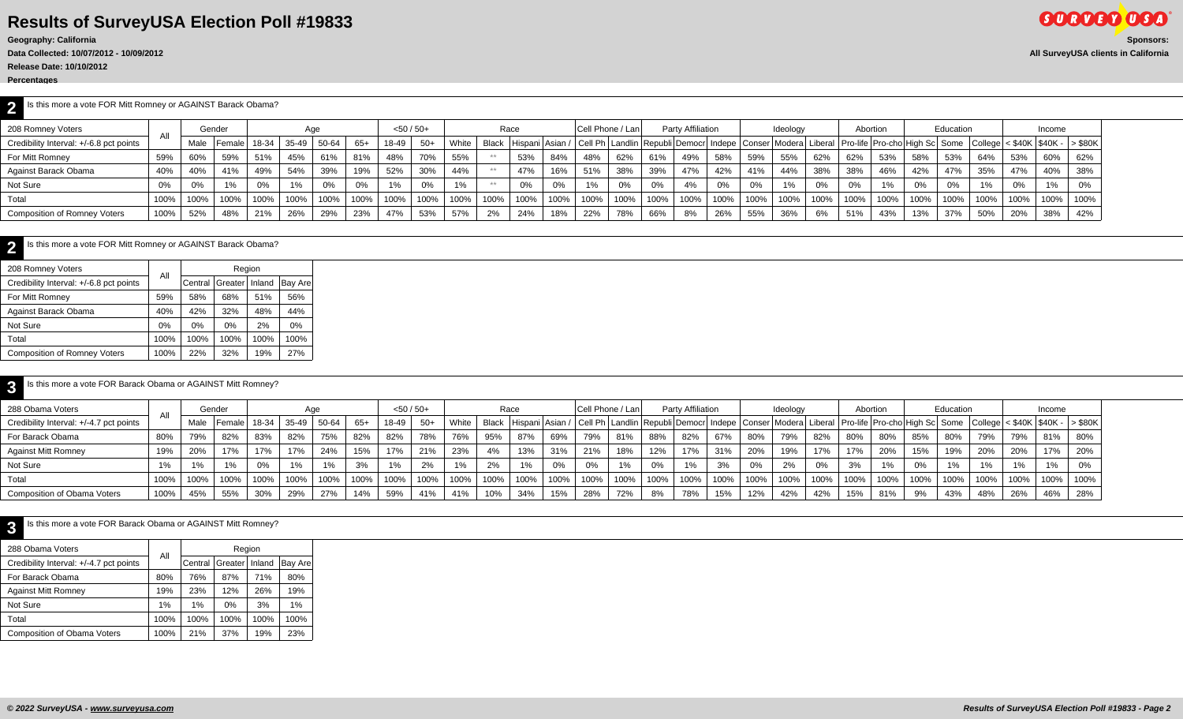**Release Date: 10/10/2012**

**Percentages**

**2** Is this more a vote FOR Mitt Romney or AGAINST Barack Obama?

| 208 Romney Voters                       |      |      | Gender     |       |       | Aqe   |       | $<$ 50 / 50+ |       |       | Race  |      |       |      | Cell Phone / Lani |      | Party Affiliation                                                                                                                           |         |      | Ideology |      |      | Abortion |      | Education |       |      | Income |      |
|-----------------------------------------|------|------|------------|-------|-------|-------|-------|--------------|-------|-------|-------|------|-------|------|-------------------|------|---------------------------------------------------------------------------------------------------------------------------------------------|---------|------|----------|------|------|----------|------|-----------|-------|------|--------|------|
| Credibility Interval: +/-6.8 pct points |      | Male | l Female I | 18-34 | 35-49 | 50-64 | $65+$ | 18-49        | $50+$ | White | Black |      |       |      |                   |      | Hispani Asian / Cell Ph Landlin Republi Democr Indepe Conser Modera Liberal Pro-life Pro-cho High Sc Some College < \$40K   \$40K - > \$80K |         |      |          |      |      |          |      |           |       |      |        |      |
| For Mitt Romney                         | 59%  | 60%  | 59%        | 51%   | 45%   | 61%   | 81%   | 48%          | 70%   | 55%   |       | 53%  | 84%   | 48%  | 62%               | 61%  | 49%                                                                                                                                         | 58%     | 59%  | 55%      | 62%  | 62%  | 53%      | 58%  | 53%       | 64%   |      | 60%    | 62%  |
| Against Barack Obama                    | 40%  | 40%  | 41%        | 49%   | 54%   | 39%   | 19%   | 52%          | 30%   | 44%   |       |      | 16%   | 51%  | 38%               | 39%  | 47%                                                                                                                                         | 42%     | 41%  | 44%      | 38%  | 38%  | 46%      | 42%  | 47%       | 35%   | 47%  | 40%    | 38%  |
| Not Sure                                | 0%   | 0%   | 1%         | 0%    | 1%    | 0%    | $0\%$ | 1%           | 0%    | 1%    | $**$  |      | $0\%$ | 1%   | 0%                | 0%   | 4%                                                                                                                                          |         | 0%   | 1%       | 0%   | 0%   | 1%       | 0%   | 0%        | $1\%$ | 0%   |        | 0%   |
| Total                                   | 100% | 100% | 100%       | 100%  | 100%  | 100%  | 100%  | 100%         | 100%  | 100%  | 100%  | 100% | 100%  | 100% | 100%              | 100% | 100%                                                                                                                                        | $100\%$ | 100% | 100%     | 100% | 100% | 100%     | 100% | 100%      | 100%  | 100% | 100%   | 100% |
| <b>Composition of Romney Voters</b>     | 100% | 52%  | 48%        | 21%   | 26%   | 29%   | 23%   | 47%          | 53%   | 57%   | 2%    | 24%  | 18%   | 22%  | 78%               | 66%  | 8%                                                                                                                                          | 26%     | 55%  | 36%      | 6%   | 51%  | 43%      | 13%  | 37%       | 50%   | 20%  | 38%    | 42%  |

| Is this more a vote FOR Mitt Romney or AGAINST Barack Obama? |       |         |         |        |                |  |
|--------------------------------------------------------------|-------|---------|---------|--------|----------------|--|
| 208 Romney Voters                                            | All   |         |         | Region |                |  |
| Credibility Interval: +/-6.8 pct points                      |       | Central | Greater | Inland | <b>Bay Are</b> |  |
| For Mitt Romney                                              | 59%   | 58%     | 68%     | 51%    | 56%            |  |
| Against Barack Obama                                         | 40%   | 42%     | 32%     | 48%    | 44%            |  |
| Not Sure                                                     | $0\%$ | 0%      | $0\%$   | 2%     | 0%             |  |
| Total                                                        | 100%  | 100%    | 100%    | 100%   | 100%           |  |
| <b>Composition of Romney Voters</b>                          | 100%  | 22%     | 32%     | 19%    | 27%            |  |

| $\mathbf{r}$ | Is this more a vote FOR Barack Obama or AGAINST Mitt Romney? |
|--------------|--------------------------------------------------------------|
|--------------|--------------------------------------------------------------|

| 288 Obama Voters                        | All  |      | Gender |       |                  | Aae   |                  | $<$ 50 / 50+ |      |       |      | Race |      |      | <b>Cell Phone / Lan</b>                                                                                                                                                             |      | Party Affiliation |      |      | Ideology |      | Abortion |       |      | Education |      |      | Income |         |
|-----------------------------------------|------|------|--------|-------|------------------|-------|------------------|--------------|------|-------|------|------|------|------|-------------------------------------------------------------------------------------------------------------------------------------------------------------------------------------|------|-------------------|------|------|----------|------|----------|-------|------|-----------|------|------|--------|---------|
| Credibility Interval: +/-4.7 pct points |      | Male | Female | 18-34 | $35-49$          | 50-64 | 65+              | 18-49        | -50+ | White |      |      |      |      | Black   Hispani   Asian /   Cell Ph   Landlin   Republi   Democr   Indepe   Conser   Modera   Liberal   Pro-life   Pro-cho   High Sc   Some   College   < \$40K   \$40K -   > \$80K |      |                   |      |      |          |      |          |       |      |           |      |      |        |         |
| For Barack Obama                        | 80%  | 79%  | 82%    | 83%   | 82%              | 75%   | 82%              | 82%          | 78%  | 76%   | 95%  | 87%  | 69%  | 79%  | 81%                                                                                                                                                                                 | 88%  | 82%               | 67%  | 80%  | 79%      | 82%  | 80%      | 80%   | 85%  | 80%       | 79%  | 79%  | 81%    | 80%     |
| <b>Against Mitt Romney</b>              | 19%  | 20%  | 17%    | 17%   | 17%              | 24%   | 15%              | 17%          | 21%  | 23%   | 4%   | 13%  | 31%  | 21%  | 18%                                                                                                                                                                                 | 12%  | 17%               | 31%  | 20%  | 19%      | 17%  | 17%      | 20%   | 15%  | 19%       | 20%  | 20%  | 17%    | 20%     |
| Not Sure                                | 1%   | 1%   | 1%     |       | 1%               |       |                  |              | 2%   | 1%    | 2%   | 1%   | 0%   | 0%   | 1%                                                                                                                                                                                  | 0%   |                   | 3%   | 0%   | 2%       |      |          | $1\%$ | 0%   | 1%        | 1%   | 1%   |        | 0%      |
| Total                                   | 100% | 100% | 100%   | 100%  | $^{\prime}$ 100% | 100%  | $^{\prime}$ 100% | 100%         | 100% | 1100% | 100% | 100% | 100% | 100% | 100%                                                                                                                                                                                | 100% | 100%              | 100% | 100% | 100%     | 100% | 100%     | 100%  | 100% | 100%      | 100% | 100% | 100%   | $100\%$ |
| <b>Composition of Obama Voters</b>      | 100% | 45%  | 55%    | 30%   | 29%              | 27%   | 14%              | 59%          | 41%  | 41%   | 10%  | 34%  | 15%  | 28%  | 72%                                                                                                                                                                                 | 8%   | 78%               | 15%  | 12%  | 42%      | 42%  | 15%      | 81%   | 9%   | 43%       | 48%  | 26%  | 46%    | 28%     |

| Is this more a vote FOR Barack Obama or AGAINST Mitt Romney? |      |                                |         |      |      |
|--------------------------------------------------------------|------|--------------------------------|---------|------|------|
| 288 Obama Voters                                             | All  |                                | Region  |      |      |
| Credibility Interval: +/-4.7 pct points                      |      | Central Greater Inland Bay Are |         |      |      |
| For Barack Obama                                             | 80%  | 76%                            | 87%     | 71%  | 80%  |
| <b>Against Mitt Romney</b>                                   | 19%  | 23%                            | 12%     | 26%  | 19%  |
| Not Sure                                                     | 1%   | $1\%$                          | 0%      | 3%   | 1%   |
| Total                                                        | 100% | 100%                           | $100\%$ | 100% | 100% |
| Composition of Obama Voters                                  | 100% | 21%                            | 37%     | 19%  | 23%  |
|                                                              |      |                                |         |      |      |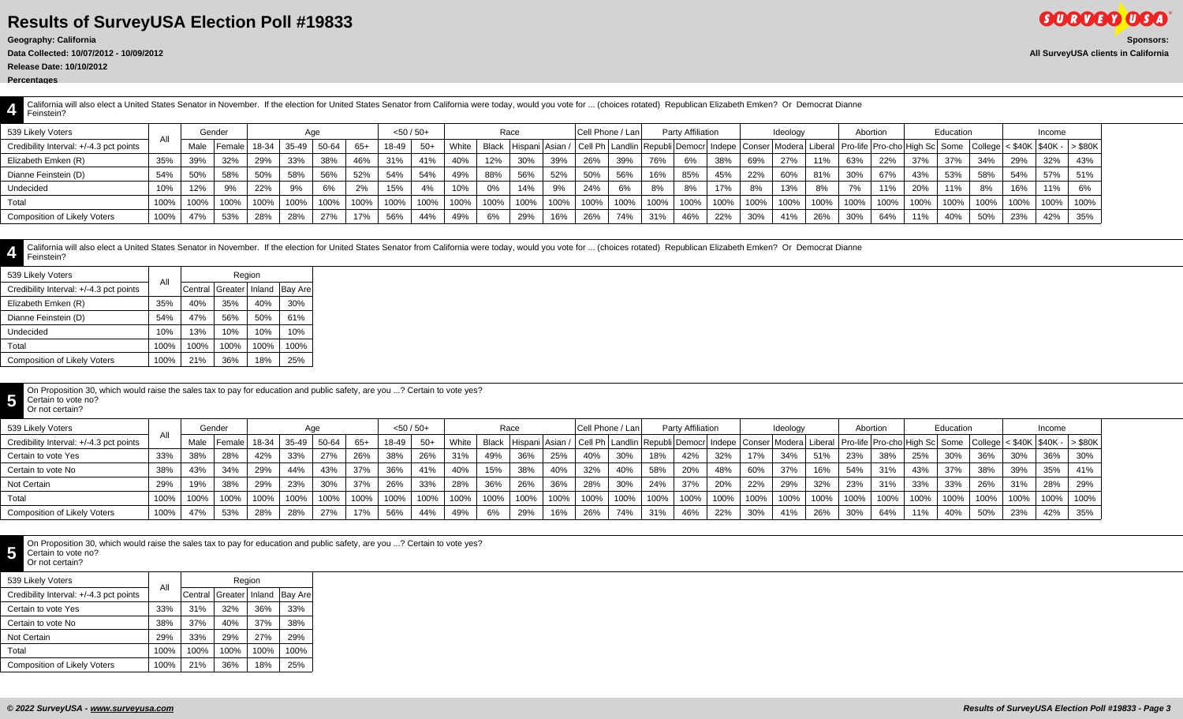**Release Date: 10/10/2012**

**4**

**4** California will also elect a United States Senator in November. If the election for United States Senator from California were today, would you vote for ... (choices rotated) Republican Elizabeth Emken? Or Democrat Dianne Feinstein?

| 539 Likely Voters                       | All  |      | Gender     |         |       | Aae   |       | $<$ 50 / 50+ |      |       |         | Race |      | <b>Cell Phone / Lani</b> |      |      | <b>Party Affiliation</b>                                                                                                                                                           |      |      | Ideology |      | Abortion |      |      | Education |         |      | Income |      |
|-----------------------------------------|------|------|------------|---------|-------|-------|-------|--------------|------|-------|---------|------|------|--------------------------|------|------|------------------------------------------------------------------------------------------------------------------------------------------------------------------------------------|------|------|----------|------|----------|------|------|-----------|---------|------|--------|------|
| Credibility Interval: +/-4.3 pct points |      | Male | I Female I | 18-34 l | 35-49 | 50-64 | $65+$ | 18-49        | -50+ | White |         |      |      |                          |      |      | Black   Hispani   Asian /   Cell Ph   Landlin   Republi   Democr  Indepe   Conser   Modera   Liberal   Pro-life   Pro-cho   High Sc   Some   College   < \$40K   \$40K -   > \$80K |      |      |          |      |          |      |      |           |         |      |        |      |
| Elizabeth Emken (R)                     | 35%  | 39%  | 32%        | 29%     | 33%   | 38%   | 46%   | 31%          | 41%  | 40%   | 12%     | 30%  | 39%  | 26%                      | 39%  | 76%  | 6%                                                                                                                                                                                 | 38%  | 69%  | 27%      | 11%  | 63%      | 22%  | 37%  | 37%       | 34%     | 29%  | 32%    | 43%  |
| Dianne Feinstein (D)                    | 54%  | 50%  | 58%        | 50%     | 58%   | 56%   | 52%   | 54%          | 54%  | 49%   | 88%     | 56%  | 52%  | 50%                      | 56%  | 16%  | 85%                                                                                                                                                                                | 45%  | 22%  | 60%      | 81%  | 30%      | 67%  | 43%  | 53%       | 58%     | 54%  | 57%    | 51%  |
| Undecided                               | 10%  | 12%  |            | 22%     |       | 6%    | 2%    | 15%          | 4%   | 10%   |         | 14%  | 9%   | 24%                      | 6%   | 8%   | 8%                                                                                                                                                                                 | 17%  | 8%   | 13%      | 8%   | 7%       | 11%  | 20%  | 11%       |         | 16%  | 11%    | 6%   |
| Total                                   | 100% | 100% |            | 100%    | 100%  | 100%  | 100%  | 100%         | 100% | 100%  | $100\%$ | 100% | 100% | 100%                     | 100% | 100% | 100%                                                                                                                                                                               | 100% | 100% | 100%     | 100% | 100%     | 100% | 100% | 100%      | $100\%$ | 100% | 100%   | 100% |
| <b>Composition of Likely Voters</b>     | 100% | 47%  | 53%        | 28%     | 28%   | 27%   | 17%   | 56%          | 44%  | 49%   | 6%      | 29%  | 16%  | 26%                      | 74%  | 31%  | 46%                                                                                                                                                                                | 22%  | 30%  | 41%      | 26%  | 30%      | 64%  | 11%  | 40%       | 50%     | 23%  | 42%    | 35%  |

California will also elect a United States Senator in November. If the election for United States Senator from California were today, would you vote for ... (choices rotated) Republican Elizabeth Emken? Or Democrat Dianne Feinstein?

| 539 Likely Voters                       | All  |         | Region  |        |         |
|-----------------------------------------|------|---------|---------|--------|---------|
| Credibility Interval: +/-4.3 pct points |      | Central | Greater | Inland | Bay Are |
| Elizabeth Emken (R)                     | 35%  | 40%     | 35%     | 40%    | 30%     |
| Dianne Feinstein (D)                    | 54%  | 47%     | 56%     | 50%    | 61%     |
| Undecided                               | 10%  | 13%     | 10%     | 10%    | 10%     |
| Total                                   | 100% | 100%    | 100%    | 100%   | 100%    |
| <b>Composition of Likely Voters</b>     | 100% | 21%     | 36%     | 18%    | 25%     |

**5** On Proposition 30, which would raise the sales tax to pay for education and public safety, are you ...? Certain to vote yes?<br>Certain to vote no?<br>Cripost contrain?

#### Certain to vote no? Or not certain?

| 539 Likely Voters                       |      |      | Gender   |       |       | Aqe   |      | $<$ 50 / 50+ |       |       |      | Race |      | Cell Phone / Lan |      |      | Party Affiliation                                                                                                                                                         |      |      | Ideology |      |      | Abortion |                  | Education |      |      | Income |                 |
|-----------------------------------------|------|------|----------|-------|-------|-------|------|--------------|-------|-------|------|------|------|------------------|------|------|---------------------------------------------------------------------------------------------------------------------------------------------------------------------------|------|------|----------|------|------|----------|------------------|-----------|------|------|--------|-----------------|
| Credibility Interval: +/-4.3 pct points | A    | Male | l Female | 18-34 | 35-49 | 50-64 | 65+  | 18-49        | $50+$ | White |      |      |      |                  |      |      | Black   Hispani   Asian /   Cell Ph   Landlin   Republi   Democr   Indepe   Conser   Modera   Liberal   Pro-life   Pro-cho   High Sc   Some   College   < \$40K   \$40K - |      |      |          |      |      |          |                  |           |      |      |        | $\vert$ > \$80K |
| Certain to vote Yes                     | 33%  | 38%  | 28%      | 42%   | 33%   | 27%   | 26%  | 38%          | 26%   | 31%   | 49%  | 36%  | 25%  | 40%              | 30%  | 18%  | 42%                                                                                                                                                                       | 32%  | 170/ | 34%      | 51%  | 23%  | 38%      | 25%              | 30%       | 36%  | 30%  | 36%    | 30%             |
| Certain to vote No                      | 38%  |      | 34%      | 29%   | 44%   | 43%   | 37%  | 36%          | 41%   | 40%   | 15%  | 38%  | 40%  | 32%              | 40%  | 58%  | 20%                                                                                                                                                                       | 48%  | 60%  | 37%      | 16%  | 54%  | 31%      | 43%              | 37%       | 38%  | 39%  | 35%    | 41%             |
| Not Certain                             | 29%  | 19%  | 38%      | 29%   | 23%   | 30%   | 37%  | 26%          | 33%   | 28%   | 36%  | 26%  | 36%  | 28%              | 30%  | 24%  | 37%                                                                                                                                                                       | 20%  | 22%  | 29%      | 32%  | 23%  | 31%      | 33%              | 33%       | 26%  | 31%  | 28%    | 29%             |
| Total                                   | 100% | 100% | 100%     | 100%  | 100%  | 100%  | 100% |              | 100%  | 100%  | 100% | 100% | 100% | 100%             | 100% | 100% | 100%                                                                                                                                                                      | 100% | 100% | 100%     | 100% | 100% | 100%     | $^{\prime}$ 100% | 100%      | 100% | 100% | 100%   | 100%            |
| <b>Composition of Likely Voters</b>     | 100% | 47%  | 53%      | 28%   | 28%   | 27%   | 17%  | 56%          | 44%   | 49%   | 6%   | 29%  | 16%  | 26%              | 74%  | 31%  | 46%                                                                                                                                                                       | 22%  | 30%  | 41%      | 26%  | 30%  | 64%      | 11%              | 40%       | 50%  | 23%  | 42%    | 35%             |

On Proposition 30, which would raise the sales tax to pay for education and public safety, are you ...? Certain to vote yes? Certain to vote no?

**5** Or not certain?

| 539 Likely Voters                       | All  |         |         | Region |                |
|-----------------------------------------|------|---------|---------|--------|----------------|
| Credibility Interval: +/-4.3 pct points |      | Central | Greater | Inland | <b>Bay Are</b> |
| Certain to vote Yes                     | 33%  | 31%     | 32%     | 36%    | 33%            |
| Certain to vote No                      | 38%  | 37%     | 40%     | 37%    | 38%            |
| Not Certain                             | 29%  | 33%     | 29%     | 27%    | 29%            |
| Total                                   | 100% | 100%    | 100%    | 100%   | 100%           |
| <b>Composition of Likely Voters</b>     | 100% | 21%     | 36%     | 18%    | 25%            |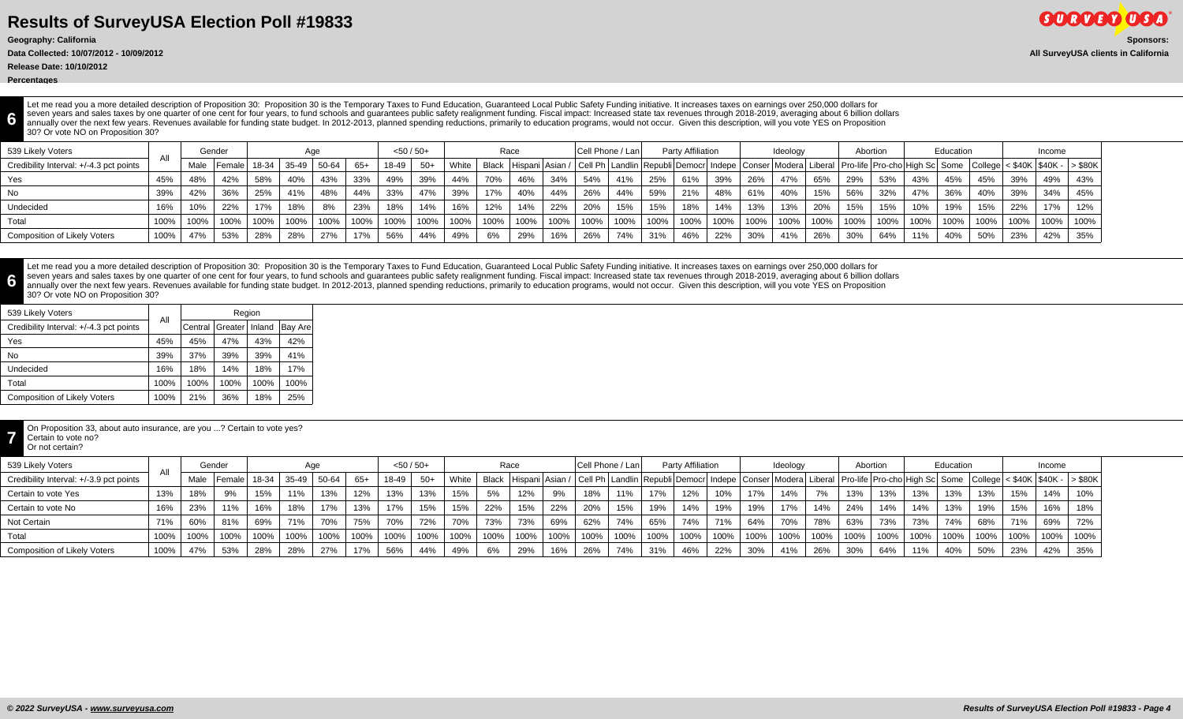**Release Date: 10/10/2012**

**Percentages**

**6**

**6**

Let me read you a more detailed description of Proposition 30: Proposition 30 is the Temporary Taxes to Fund Education, Guaranteed Local Public Safety Funding initiative. It increases taxes on earnings over 250,000 dollars seven years and sales taxes by one quarter of one cent for four years, to fund schools and guarantees public safety realignment funding. Fiscal impact: Increased state tax revenues through 2018-2019, averaging about 6 bill annually over the next few years. Revenues available for funding state budget. In 2012-2013, planned spending reductions, primarily to education programs, would not occur. Given this description, will you vote YES on Propo 30? Or vote NO on Proposition 30?

| 539 Likely Voters                       |      |      | Gender  |       |       | Aqe   |       | $< 50 / 50+$ |       |       | Race    |         |      | Cell Phone / Lan |      |      | Party Affiliation |         |      | Ideology |      | Abortion |      |      | Education |      |      | Income |                                                                                                                                                                |
|-----------------------------------------|------|------|---------|-------|-------|-------|-------|--------------|-------|-------|---------|---------|------|------------------|------|------|-------------------|---------|------|----------|------|----------|------|------|-----------|------|------|--------|----------------------------------------------------------------------------------------------------------------------------------------------------------------|
| Credibility Interval: +/-4.3 pct points |      | Male | 'Female | 18-34 | 35-49 | 50-64 | $65+$ | 18-49        | $50+$ | White |         |         |      |                  |      |      |                   |         |      |          |      |          |      |      |           |      |      |        | Black  Hispani Asian /  Cell Ph Landlin Republi Democr  Indepe   Conser  Modera  Liberal   Pro-life  Pro-cho High Sc  Some  College < \$40K   \$40K -  > \$80K |
| Yes                                     | 45%  | 48%  | 42%     | 58%   | 40%   | 43%   | 33%   | 49%          | 39%   | 44%   | 70%     | 46%     | 34%  | 54%              | 41%  | 25%  | 61%               | 39%     | 26%  | 47%      | 65%  | 29%      | 53%  | 43%  | 45%       | 45%  | 39%  | 49%    | 43%                                                                                                                                                            |
| No.                                     | 39%  | 42%  | 36%     | 25%   | 41%   | 48%   | 44%   | 33%          | 47%   | 39%   | 17%     | 40%     | 44%  | 26%              | 44%  | 59%  | 21%               | 48%     | 61%  | 40%      | 15%  | 56%      | 32%  | 47%  | 36%       | 40%  | 39%  | 34%    | 45%                                                                                                                                                            |
| Undecided                               | 16%  | 10%  | 22%     | 17%   | 18%   | 8%    | 23%   | 18%          | 14%   | 16%   | 12%     | 14%     | 22%  | 20%              | 15%  | 15%  | 18%               | 14%     | 13%  | 13%      | 20%  | 15%      | 15%  | 10%  | 19%       | 15%  | 22%  | 17%    | 12%                                                                                                                                                            |
| Total                                   | 100% | 100% | 100%    | 100%  | 100%  | 100%  | 100%  | 100%         | 100%  | 100%  | $100\%$ | $100\%$ | 100% | 100%             | 100% | 100% | $^{\prime}$ 100%  | $100\%$ | 100% | 100%     | 100% | 100%     | 100% | 100% | 100%      | 100% | 100% | 100%   | 100%                                                                                                                                                           |
| <b>Composition of Likely Voters</b>     | 100% | 47%  | 53%     | 28%   | 28%   | 27%   | 17%   | 56%          | 44%   | 49%   | 6%      | 29%     | 16%  | 26%              | 74%  | 31%  | 46%               | 22%     | 30%  | 41%      | 26%  | 30%      | 64%  | 11%  | 40%       | 50%  | 23%  | 42%    | 35%                                                                                                                                                            |

Let me read you a more detailed description of Proposition 30: Proposition 30 is the Temporary Taxes to Fund Education, Guaranteed Local Public Safety Funding initiative. It increases taxes on earnings over 250,000 dollars seven years and sales taxes by one quarter of one cent for four years, to fund schools and guarantees public safety realignment funding. Fiscal impact: Increased state tax revenues through 2018-2019, averaging about 6 bill annually over the next few years. Revenues available for funding state budget. In 2012-2013, planned spending reductions, primarily to education programs, would not occur. Given this description, will you vote YES on Propo 30? Or vote NO on Proposition 30?

| 539 Likely Voters                       |      |         | Region  |        |         |
|-----------------------------------------|------|---------|---------|--------|---------|
| Credibility Interval: +/-4.3 pct points | Αll  | Central | Greater | Inland | Bay Are |
| Yes                                     | 45%  | 45%     | 47%     | 43%    | 42%     |
| No                                      | 39%  | 37%     | 39%     | 39%    | 41%     |
| Undecided                               | 16%  | 18%     | 14%     | 18%    | 17%     |
| Total                                   | 100% | 100%    | 100%    | 100%   | 100%    |
| <b>Composition of Likely Voters</b>     | 100% | 21%     | 36%     | 18%    | 25%     |

On Proposition 33, about auto insurance, are you ...? Certain to vote yes?

**7** Certain to vote no? Or not certain?

| 539 Likely Voters                       |      | Gender |       | Age   |       |      | $<$ 50 / 50+ |       |       | Race  |                   |      |      | Cell Phone / Lan |      | Party Affiliation |      |      | Ideology |      |      | Abortion |                                                                                                                   | Education |      |      | Income                          |      |
|-----------------------------------------|------|--------|-------|-------|-------|------|--------------|-------|-------|-------|-------------------|------|------|------------------|------|-------------------|------|------|----------|------|------|----------|-------------------------------------------------------------------------------------------------------------------|-----------|------|------|---------------------------------|------|
| Credibility Interval: +/-3.9 pct points | Male | Female | 18-34 | 35-49 | 50-64 | 65+  | 18-49        | $50+$ | White | Black | : Hispani Asian / |      |      |                  |      |                   |      |      |          |      |      |          | / Cell Ph   Landlin   Republi   Democr   Indepe   Conser   Modera   Liberal   Pro-life   Pro-cho   High Sc   Some |           |      |      | $ $ < \$40K   \$40K -   > \$80K |      |
| Certain to vote Yes                     | 8%   | 9%     | 15%   | 11%   | 13%   | 12%  | 13%          | 13%   | 15%   | 5%    | 12%               | 9%   | 18%  | 11%              |      | 12%               | 10%  | 17%  | 14%      | 7%   | 13%  | 13%      | 13%                                                                                                               | 13%       | 13%  | 15%  | 14%                             |      |
| Certain to vote No                      | 23%  | 11%    | 16%   | 18%   | 17%   | 13%  | 17%          | 15%   | 15%   | 22%   | 15%               | 22%  | 20%  | 15%              | 19%  | 14%               | 19%  | 19%  | 17%      | 14%  | 24%  | 14%      | 14%                                                                                                               | 13%       | 19%  | 15%  | 16%                             | 18%  |
| Not Certain                             | 60%  | 81%    | 69%   | 71%   | 70%   | 75%  | 70%          | 72%   | 70%   | 73%   | 73%               | 69%  | 62%  | 74%              | 65%  | 74%               | 71%  | 64%  | 70%      | 78%  | 63%  | 73%      | 73%                                                                                                               | 74%       | 68%  | 71%  | 69%                             | 72%  |
| Total                                   | 100% | 100%   | 100%  | 100%  | 100%  | 100% | 100%         | 100%  | 100%  | 100%  | 100%              | 100% | 100% | 100%             | 100% | 100%              | 100% | 100% | 100%     | 100% | 100% | 100%     | 100%                                                                                                              | 100%      | 100% | 100% | 100%                            | 100% |
| <b>Composition of Likely Voters</b>     | 47%  | 53%    | 28%   | 28%   | 27%   | 17%  | 56%          | 44%   | 49%   | 6%    | 29%               | 16%  | 26%  | 74%              |      | 46%               | 22%  | 30%  | 41%      | 26%  | 30%  | 64%      | 11%                                                                                                               | 40%       | 50%  | 23%  | 42%                             | 35%  |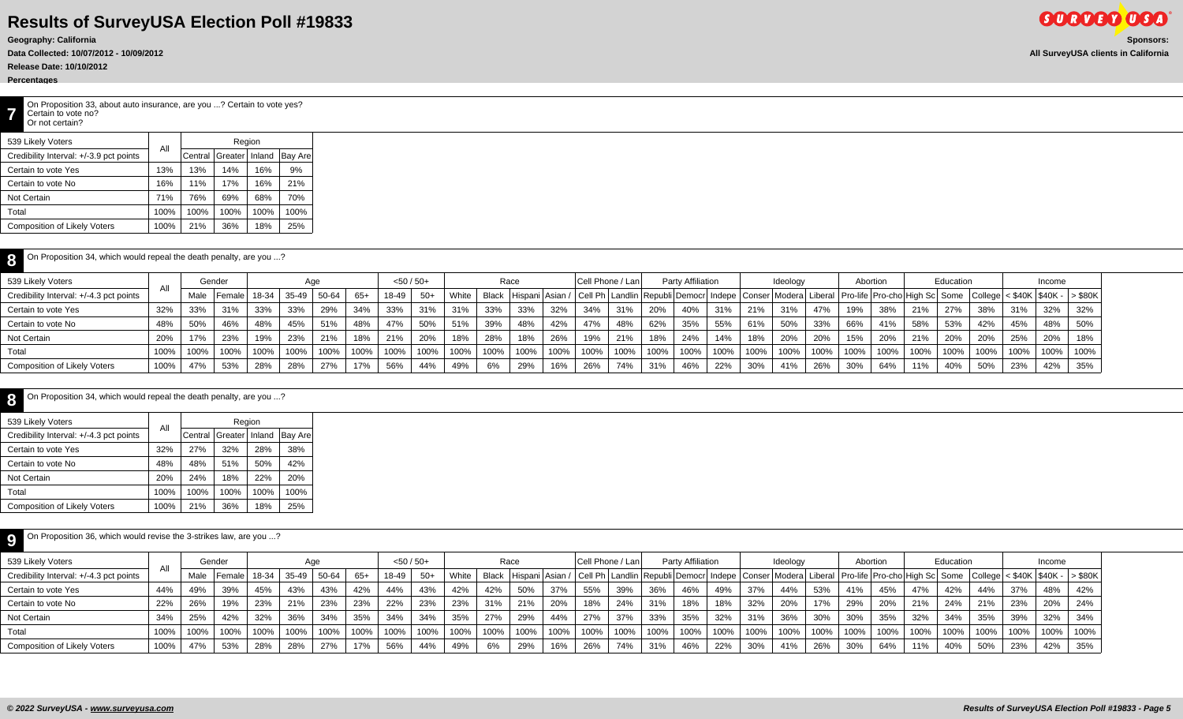**Data Collected: 10/07/2012 - 10/09/2012 All SurveyUSA clients in California**

**Release Date: 10/10/2012**

### **Percentages**

**8**

**7** On Proposition 33, about auto insurance, are you ...? Certain to vote yes? Certain to vote no? Or not certain?

| 539 Likely Voters                       |      |         | Region  |        |         |
|-----------------------------------------|------|---------|---------|--------|---------|
| Credibility Interval: +/-3.9 pct points | Αll  | Central | Greater | Inland | Bay Are |
| Certain to vote Yes                     | 13%  | 13%     | 14%     | 16%    | 9%      |
| Certain to vote No                      | 16%  | 11%     | 17%     | 16%    | 21%     |
| Not Certain                             | 71%  | 76%     | 69%     | 68%    | 70%     |
| Total                                   | 100% | 100%    | 100%    | 100%   | 100%    |
| <b>Composition of Likely Voters</b>     | 100% | 21%     | 36%     | 18%    | 25%     |

| On Proposition 34, which would repeal the death penalty, are you ? |      |      |                    |      |      |       |      |              |       |       |      |      |      |      |                  |      |                   |      |      |          |      |          |      |      |                                                                                                                                                                           |      |          |        |      |
|--------------------------------------------------------------------|------|------|--------------------|------|------|-------|------|--------------|-------|-------|------|------|------|------|------------------|------|-------------------|------|------|----------|------|----------|------|------|---------------------------------------------------------------------------------------------------------------------------------------------------------------------------|------|----------|--------|------|
| 539 Likely Voters                                                  |      |      | Gender             |      |      | Aqe   |      | $<$ 50 / 50+ |       |       |      | Race |      |      | Cell Phone / Lan |      | Party Affiliation |      |      | Ideology |      | Abortion |      |      | Education                                                                                                                                                                 |      |          | Income |      |
| Credibility Interval: +/-4.3 pct points                            |      | Male | Female 18-34 35-49 |      |      | 50-64 | 65+  | 18-49        | $50+$ | White |      |      |      |      |                  |      |                   |      |      |          |      |          |      |      | Black  Hispani Asian /  Cell Ph   Landlin   Republi Democr  Indepe   Conser   Modera   Liberal   Pro-life   Pro-cho High Sc  Some   College   < \$40K   \$40K -   > \$80K |      |          |        |      |
| Certain to vote Yes                                                | 32%  | 33%  | 31%                | 33%  | 33%  | 29%   | 34%  | 33%          | 31%   | 31%   | 33%  | 33%  | 32%  | 34%  | 31%              | 20%  | 40%               | 31%  | 21%  | 31%      | 47%  | 19%      | 38%  | 21%  | 27%                                                                                                                                                                       | 38%  | 31%      | 32%    | 32%  |
| Certain to vote No                                                 | 48%  | 50%  | 46%                | 48%  | 45%  | 51%   | 48%  | 47%          | 50%   | 51%   | 39%  | 48%  | 42%  | 47%  | 48%              | 62%  | 35%               | 55%  | 61%  | 50%      | 33%  | 66%      | 41%  | 58%  | 53%                                                                                                                                                                       | 42%  | 45%      | 48%    | 50%  |
| Not Certain                                                        |      | 17%  | 23%                | 19%  | 23%  | 21%   | 18%  | 21%          | 20%   | 18%   | 28%  | 18%  | 26%  | 19%  | 21%              | 18%  | 24%               | 14%  | 18%  | 20%      | 20%  | 15%      | 20%  | 21%  | 20%                                                                                                                                                                       | 20%  | 25%      | 20%    | 18%  |
| Total                                                              | 100% | 100% | 100%               | 100% | 100% | 100%  | 100% | $100\%$      | 100%  | 100%  | 100% | 100% | 100% | 100% | 100%             | 100% | 100%              | 100% | 100% | 100%     | 100% | 100%     | 100% | 100% | 100%                                                                                                                                                                      | 100% | $'100\%$ | 100%   | 100% |
| <b>Composition of Likely Voters</b>                                | 100% | 47%  | 53%                | 28%  | 28%  | 27%   | 17%  | 56%          | 44%   | 49%   | 6%   | 29%  | 16%  | 26%  | 74%              | 31%  | 46%               | 22%  | 30%  | 41%      | 26%  | 30%      | 64%  | 11%  | 40%                                                                                                                                                                       | 50%  | 23%      | 42%    | 35%  |

### On Proposition 34, which would repeal the death penalty, are you ...?

| 539 Likely Voters                       | Αll  |         |         | Region |         |
|-----------------------------------------|------|---------|---------|--------|---------|
| Credibility Interval: +/-4.3 pct points |      | Central | Greater | Inland | Bay Are |
| Certain to vote Yes                     | 32%  | 27%     | 32%     | 28%    | 38%     |
| Certain to vote No                      | 48%  | 48%     | 51%     | 50%    | 42%     |
| Not Certain                             | 20%  | 24%     | 18%     | 22%    | 20%     |
| Total                                   | 100% | 100%    | 100%    | 100%   | 100%    |
| <b>Composition of Likely Voters</b>     | 100% | 21%     | 36%     | 18%    | 25%     |

| On Proposition 36, which would revise the 3-strikes law, are you ? |      |      |                |      |       |       |       |              |       |       |      |      |      |      |                  |      |                   |      |      |          |      |      |          |                                                                                                                                                                                     |           |      |      |        |      |
|--------------------------------------------------------------------|------|------|----------------|------|-------|-------|-------|--------------|-------|-------|------|------|------|------|------------------|------|-------------------|------|------|----------|------|------|----------|-------------------------------------------------------------------------------------------------------------------------------------------------------------------------------------|-----------|------|------|--------|------|
| 539 Likely Voters                                                  |      |      | Gender         |      |       | Aae   |       | $< 50 / 50+$ |       |       |      | Race |      |      | Cell Phone / Lan |      | Party Affiliation |      |      | Ideology |      |      | Abortion |                                                                                                                                                                                     | Education |      |      | Income |      |
| Credibility Interval: +/-4.3 pct points                            |      | Male | Female   18-34 |      | 35-49 | 50-64 | $65+$ | 18-49        | $50+$ | White |      |      |      |      |                  |      |                   |      |      |          |      |      |          | Black   Hispani   Asian /   Cell Ph   Landlin   Republi   Democr   Indepe   Conser   Modera   Liberal   Pro-life   Pro-cho   High Sc   Some   College   < \$40K   \$40K -   > \$80K |           |      |      |        |      |
| Certain to vote Yes                                                | 44%  | 49%  | 39%            | 45%  | 43%   | 43%   | 42%   | 44%          | 43%   | 42%   | 42%  | 50%  | 37%  | 55%  | 39%              | 36%  | 46%               | 49%  | 37%  | 44%      | 53%  | 41%  | 45%      | 47%                                                                                                                                                                                 | 42%       | 44%  | 37%  | 48%    | 42%  |
| Certain to vote No                                                 | 22%  | 26%  | 19%            | 23%  | 21%   | 23%   | 23%   | 22%          | 23%   | 23%   | 31%  | 21%  | 20%  | 18%  | 24%              | 31%  | 18%               | 18%  | 32%  | 20%      | 17%  | 29%  | 20%      | 21%                                                                                                                                                                                 | 24%       | 21%  | 23%  | 20%    | 24%  |
| Not Certain                                                        | 34%  | 25%  | 42%            | 32%  | 36%   | 34%   | 35%   | 34%          | 34%   | 35%   | 27%  | 29%  | 44%  | 27%  | 37%              | 33%  | 35%               | 32%  | 31%  | 36%      | 30%  | 30%  | 35%      | 32%                                                                                                                                                                                 | 34%       | 35%  | 39%  | 32%    | 34%  |
| Total                                                              | 100% | 100% | 100%           | 100% | 100%  | 100%  | 100%  | 100%         | 100%  | 100%  | 100% | 100% | 100% | 100% | 100%             | 100% | 100%              | 100% | 100% | 100%     | 100% | 100% | 100%     | 100%                                                                                                                                                                                | 100%      | 100% | 100% | 100%   | 100% |
| Composition of Likely Voters                                       | 100% | 47%  | 53%            | 28%  | 28%   | 27%   | 17%   | 56%          | 44%   | 49%   | 6%   | 29%  | 16%  | 26%  | 74%              | 31%  | 46%               | 22%  | 30%  | 41%      | 26%  | 30%  | 64%      | 11%                                                                                                                                                                                 | 40%       | 50%  | 23%  | 42%    | 35%  |